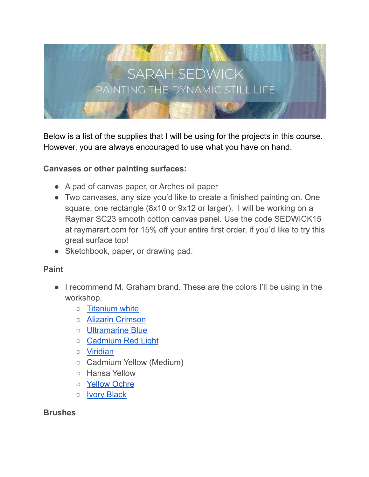

Below is a list of the supplies that I will be using for the projects in this course. However, you are always encouraged to use what you have on hand.

#### **Canvases or other painting surfaces:**

- A pad of canvas paper, or Arches oil paper
- Two canvases, any size you'd like to create a finished painting on. One square, one rectangle (8x10 or 9x12 or larger). I will be working on a Raymar SC23 smooth cotton canvas panel. Use the code SEDWICK15 at raymarart.com for 15% off your entire first order, if you'd like to try this great surface too!
- Sketchbook, paper, or drawing pad.

#### **Paint**

- I recommend M. Graham brand. These are the colors I'll be using in the workshop.
	- [Titanium white](https://amzn.to/3sV81eC)
	- [Alizarin Crimson](https://amzn.to/3HBuQZ6)
	- [Ultramarine Blue](https://amzn.to/3341l2Q)
	- [Cadmium Red Light](https://amzn.to/3HKnaUd)
	- [Viridian](https://amzn.to/3zq6kaq)
	- Cadmium Yellow (Medium)
	- Hansa Yellow
	- [Yellow Ochre](https://amzn.to/32ROHnX)
	- [Ivory Black](https://amzn.to/34qzUBn)

#### **Brushes**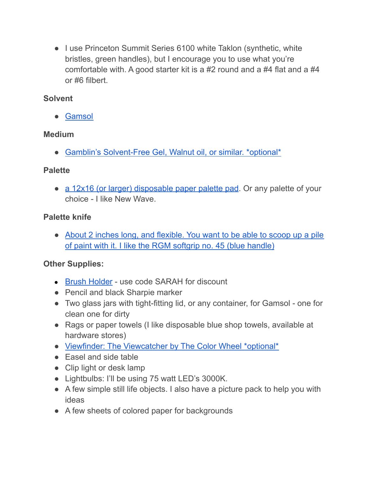• I use Princeton Summit Series 6100 white Taklon (synthetic, white bristles, green handles), but I encourage you to use what you're comfortable with. A good starter kit is a #2 round and a #4 flat and a #4 or #6 filbert.

# **Solvent**

● [Gamsol](https://www.amazon.com/gp/product/B00IIWQFO2/ref=as_li_qf_asin_il_tl?ie=UTF8&tag=karabullockar-20&creative=9325&linkCode=as2&creativeASIN=B00IIWQFO2&linkId=6103b07cc31627866e0e773310400d0c)

# **Medium**

• [Gamblin's Solvent-Free Gel, Walnut oil, or similar. \\*optional\\*](https://www.amazon.com/gp/product/B00XJSMCDI/ref=as_li_qf_asin_il_tl?ie=UTF8&tag=karabullockar-20&creative=9325&linkCode=as2&creativeASIN=B00XJSMCDI&linkId=5c80cd7d3163786e65ac021066f08d46)

#### **Palette**

• [a 12x16 \(or larger\) disposable paper palette pad](https://amzn.to/3znOLYC). Or any palette of your choice - I like New Wave.

# **Palette knife**

• [About 2 inches long, and flexible. You want to be able to scoop up a pile](https://www.amazon.com/gp/product/B0028FLZUY/ref=as_li_qf_asin_il_tl?ie=UTF8&tag=karabullockar-20&creative=9325&linkCode=as2&creativeASIN=B0028FLZUY&linkId=a4ab194eb0fc94f1420f486422842984) [of paint with it. I like the RGM softgrip no. 45 \(blue handle\)](https://www.amazon.com/gp/product/B0028FLZUY/ref=as_li_qf_asin_il_tl?ie=UTF8&tag=karabullockar-20&creative=9325&linkCode=as2&creativeASIN=B0028FLZUY&linkId=a4ab194eb0fc94f1420f486422842984)

# **Other Supplies:**

- [Brush Holder](https://www.etsy.com/shop/SmartArtProducts) use code SARAH for discount
- Pencil and black Sharpie marker
- Two glass jars with tight-fitting lid, or any container, for Gamsol one for clean one for dirty
- Rags or paper towels (I like disposable blue shop towels, available at hardware stores)
- [Viewfinder: The Viewcatcher by The Color Wheel \\*optional\\*](https://www.amazon.com/gp/product/B001DKMZNG/ref=as_li_qf_asin_il_tl?ie=UTF8&tag=karabullockar-20&creative=9325&linkCode=as2&creativeASIN=B001DKMZNG&linkId=861136b11cd6ca792a7a3941f1647742)
- Easel and side table
- Clip light or desk lamp
- Lightbulbs: I'll be using 75 watt LED's 3000K.
- A few simple still life objects. I also have a picture pack to help you with ideas
- A few sheets of colored paper for backgrounds